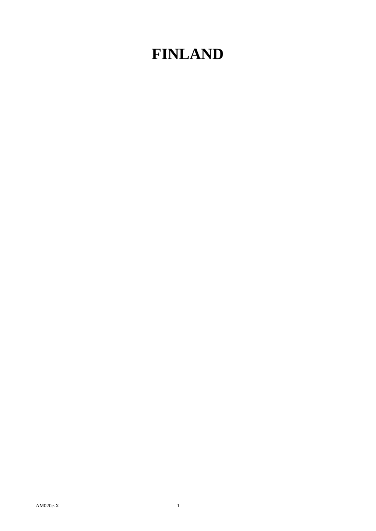## **FINLAND**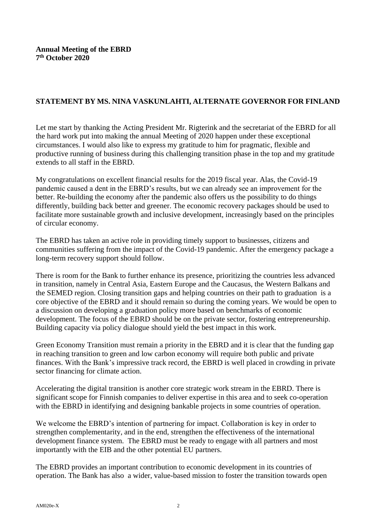## **STATEMENT BY MS. NINA VASKUNLAHTI, ALTERNATE GOVERNOR FOR FINLAND**

Let me start by thanking the Acting President Mr. Rigterink and the secretariat of the EBRD for all the hard work put into making the annual Meeting of 2020 happen under these exceptional circumstances. I would also like to express my gratitude to him for pragmatic, flexible and productive running of business during this challenging transition phase in the top and my gratitude extends to all staff in the EBRD.

My congratulations on excellent financial results for the 2019 fiscal year. Alas, the Covid-19 pandemic caused a dent in the EBRD's results, but we can already see an improvement for the better. Re-building the economy after the pandemic also offers us the possibility to do things differently, building back better and greener. The economic recovery packages should be used to facilitate more sustainable growth and inclusive development, increasingly based on the principles of circular economy.

The EBRD has taken an active role in providing timely support to businesses, citizens and communities suffering from the impact of the Covid-19 pandemic. After the emergency package a long-term recovery support should follow.

There is room for the Bank to further enhance its presence, prioritizing the countries less advanced in transition, namely in Central Asia, Eastern Europe and the Caucasus, the Western Balkans and the SEMED region. Closing transition gaps and helping countries on their path to graduation is a core objective of the EBRD and it should remain so during the coming years. We would be open to a discussion on developing a graduation policy more based on benchmarks of economic development. The focus of the EBRD should be on the private sector, fostering entrepreneurship. Building capacity via policy dialogue should yield the best impact in this work.

Green Economy Transition must remain a priority in the EBRD and it is clear that the funding gap in reaching transition to green and low carbon economy will require both public and private finances. With the Bank's impressive track record, the EBRD is well placed in crowding in private sector financing for climate action.

Accelerating the digital transition is another core strategic work stream in the EBRD. There is significant scope for Finnish companies to deliver expertise in this area and to seek co-operation with the EBRD in identifying and designing bankable projects in some countries of operation.

We welcome the EBRD's intention of partnering for impact. Collaboration is key in order to strengthen complementarity, and in the end, strengthen the effectiveness of the international development finance system. The EBRD must be ready to engage with all partners and most importantly with the EIB and the other potential EU partners.

The EBRD provides an important contribution to economic development in its countries of operation. The Bank has also a wider, value-based mission to foster the transition towards open